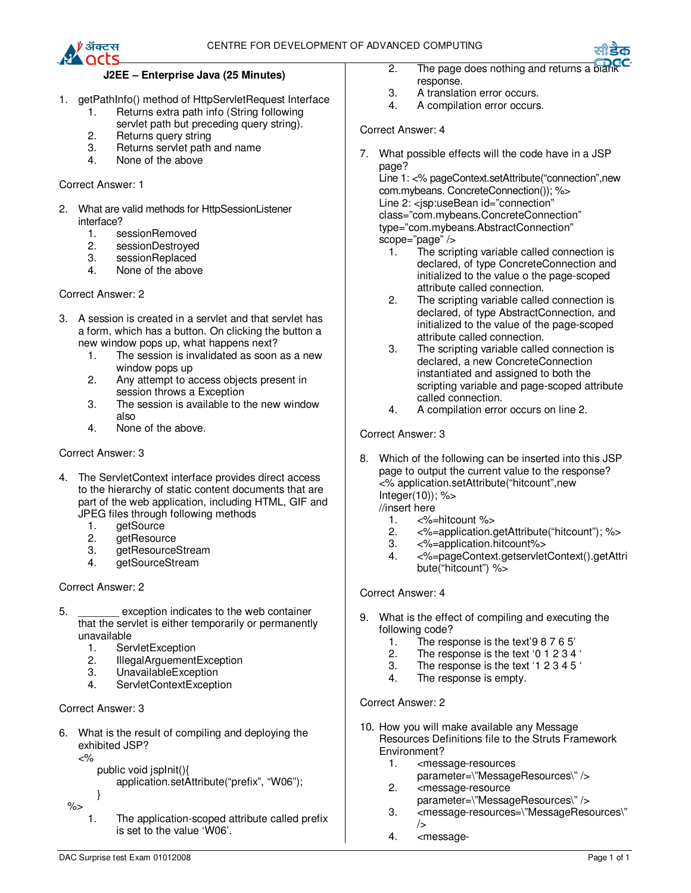

## **J2EE – Enterprise Java (25 Minutes)**

- 1. getPathInfo() method of HttpServletRequest Interface
	- 1. Returns extra path info (String following servlet path but preceding query string).
	- 2. Returns query string
	- 3. Returns servlet path and name
	- 4. None of the above

#### Correct Answer: 1

- 2. What are valid methods for HttpSessionListener interface?
	- 1. sessionRemoved
	- 2. sessionDestroyed
	- 3. sessionReplaced
	- 4. None of the above

#### Correct Answer: 2

- 3. A session is created in a servlet and that servlet has a form, which has a button. On clicking the button a new window pops up, what happens next?
	- 1. The session is invalidated as soon as a new window pops up
	- 2. Any attempt to access objects present in session throws a Exception
	- 3. The session is available to the new window also
	- 4. None of the above.

#### Correct Answer: 3

- 4. The ServletContext interface provides direct access to the hierarchy of static content documents that are part of the web application, including HTML, GIF and JPEG files through following methods
	- 1. getSource<br>2. getResoure
	- getResource
	- 3. getResourceStream
	- 4. getSourceStream

### Correct Answer: 2

- 5. \_\_\_\_\_\_\_ exception indicates to the web container that the servlet is either temporarily or permanently unavailable
	- 1. ServletException<br>2. IllegalArquement
	- 2. IllegalArguementException
	- 3. UnavailableException
	- 4. ServletContextException

### Correct Answer: 3

- 6. What is the result of compiling and deploying the exhibited JSP?
	- $<\!\!\frac{9}{6}$

}

- public void jspInit(){
	- application.setAttribute("prefix", "W06");
- %>
	- 1. The application-scoped attribute called prefix is set to the value 'W06'.
- 2. The page does nothing and returns a  $\overline{p}$ response.
- 3. A translation error occurs.<br>4. A compilation error occurs
- A compilation error occurs.

## Correct Answer: 4

7. What possible effects will the code have in a JSP page? Line 1: <% pageContext.setAttribute("connection",new

com.mybeans. ConcreteConnection()); %> Line 2: <isp:useBean id="connection" class="com.mybeans.ConcreteConnection" type="com.mybeans.AbstractConnection" scope="page" />

- 1. The scripting variable called connection is declared, of type ConcreteConnection and initialized to the value o the page-scoped attribute called connection.
- 2. The scripting variable called connection is declared, of type AbstractConnection, and initialized to the value of the page-scoped attribute called connection.
- 3. The scripting variable called connection is declared, a new ConcreteConnection instantiated and assigned to both the scripting variable and page-scoped attribute called connection.
- 4. A compilation error occurs on line 2.

### Correct Answer: 3

8. Which of the following can be inserted into this JSP page to output the current value to the response? <% application.setAttribute("hitcount",new Integer(10)); %>

//insert here

- 1. <%=hitcount %>
- 2. <%=application.getAttribute("hitcount"); %>
- 3. <%=application.hitcount%>
- 4. <%=pageContext.getservletContext().getAttri bute("hitcount") %>

### Correct Answer: 4

- 9. What is the effect of compiling and executing the following code?
	- 1. The response is the text'9 8 7 6 5'<br>2. The response is the text '0 1 2 3 4
	- The response is the text '0 1 2 3 4 '
	- 3. The response is the text '1 2 3 4 5 '
	- 4. The response is empty.

### Correct Answer: 2

- 10. How you will make available any Message Resources Definitions file to the Struts Framework Environment?
	- 1. <message-resources parameter=\"MessageResources\" />
	- 2. <message-resource parameter=\"MessageResources\" />
	- 3. <message-resources=\"MessageResources\" />
	- 4. <message-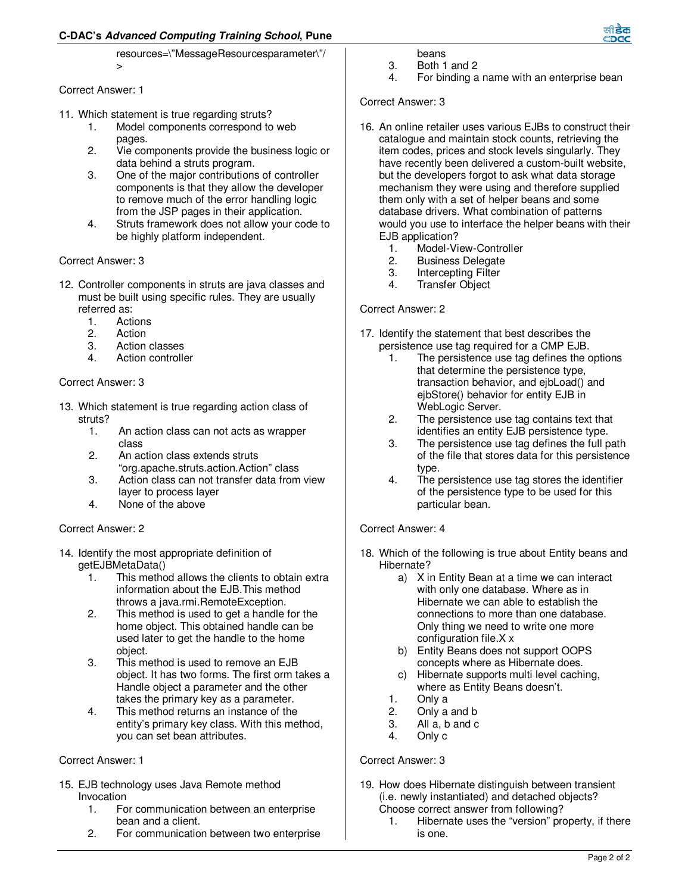# **C-DAC's Advanced Computing Training School, Pune**

resources=\"MessageResourcesparameter\"/  $\overline{\phantom{a}}$ 

### Correct Answer: 1

- 11. Which statement is true regarding struts?
	- 1. Model components correspond to web pages.
	- 2. Vie components provide the business logic or data behind a struts program.
	- 3. One of the major contributions of controller components is that they allow the developer to remove much of the error handling logic from the JSP pages in their application.
	- 4. Struts framework does not allow your code to be highly platform independent.

## Correct Answer: 3

- 12. Controller components in struts are java classes and must be built using specific rules. They are usually referred as:<br>1. Acti
	- 1. Actions<br>2. Action
	- **Action**
	- 3. Action classes
	- 4. Action controller

## Correct Answer: 3

- 13. Which statement is true regarding action class of struts?
	- 1. An action class can not acts as wrapper class
	- 2. An action class extends struts "org.apache.struts.action.Action" class
	- 3. Action class can not transfer data from view layer to process layer
	- 4. None of the above

# Correct Answer: 2

- 14. Identify the most appropriate definition of getEJBMetaData()
	- 1. This method allows the clients to obtain extra information about the EJB.This method throws a java.rmi.RemoteException.
	- 2. This method is used to get a handle for the home object. This obtained handle can be used later to get the handle to the home object.
	- 3. This method is used to remove an EJB object. It has two forms. The first orm takes a Handle object a parameter and the other takes the primary key as a parameter.
	- 4. This method returns an instance of the entity's primary key class. With this method, you can set bean attributes.

### Correct Answer: 1

- 15. EJB technology uses Java Remote method Invocation
	- 1. For communication between an enterprise bean and a client.
	- 2. For communication between two enterprise
- beans
- 3. Both 1 and 2
- 4. For binding a name with an enterprise bean

## Correct Answer: 3

- 16. An online retailer uses various EJBs to construct their catalogue and maintain stock counts, retrieving the item codes, prices and stock levels singularly. They have recently been delivered a custom-built website, but the developers forgot to ask what data storage mechanism they were using and therefore supplied them only with a set of helper beans and some database drivers. What combination of patterns would you use to interface the helper beans with their EJB application?
	- 1. Model-View-Controller<br>2. Business Delegate
	- **Business Delegate**
	- 3. Intercepting Filter
	- 4. Transfer Object

## Correct Answer: 2

- 17. Identify the statement that best describes the persistence use tag required for a CMP EJB.
	- 1. The persistence use tag defines the options that determine the persistence type, transaction behavior, and ejbLoad() and ejbStore() behavior for entity EJB in WebLogic Server.
	- 2. The persistence use tag contains text that identifies an entity EJB persistence type.
	- 3. The persistence use tag defines the full path of the file that stores data for this persistence type.
	- 4. The persistence use tag stores the identifier of the persistence type to be used for this particular bean.

## Correct Answer: 4

- 18. Which of the following is true about Entity beans and Hibernate?
	- a) X in Entity Bean at a time we can interact with only one database. Where as in Hibernate we can able to establish the connections to more than one database. Only thing we need to write one more configuration file.X x
	- b) Entity Beans does not support OOPS concepts where as Hibernate does.
	- c) Hibernate supports multi level caching, where as Entity Beans doesn't.
	- 1. Only a
	- 2. Only a and b
	- 3. All a, b and c
	- 4. Only c

### Correct Answer: 3

- 19. How does Hibernate distinguish between transient (i.e. newly instantiated) and detached objects? Choose correct answer from following?
	- 1. Hibernate uses the "version" property, if there is one.